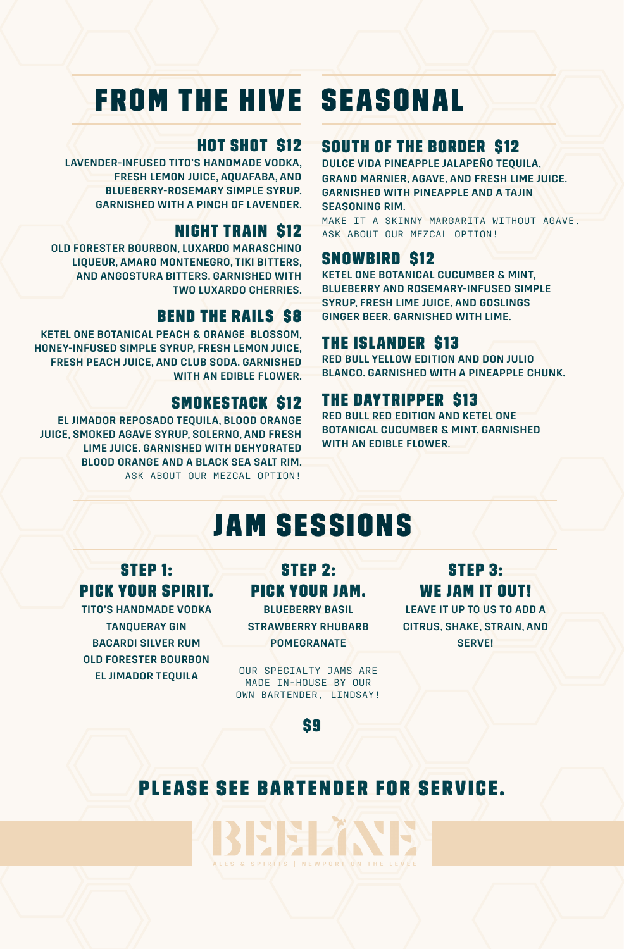# FROM THE HIVE SEASONAL

#### HOT SHOT \$12

LAVENDER-INFUSED TITO'S HANDMADE VODKA, FRESH LEMON JUICE, AQUAFABA, AND BLUEBERRY-ROSEMARY SIMPLE SYRUP. GARNISHED WITH A PINCH OF LAVENDER.

#### NIGHT TRAIN \$12

OLD FORESTER BOURBON, LUXARDO MARASCHINO LIQUEUR, AMARO MONTENEGRO, TIKI BITTERS, AND ANGOSTURA BITTERS. GARNISHED WITH TWO LUXARDO CHERRIES.

#### **BEND THE RAILS \$8**

KETEL ONE BOTANICAL PEACH & ORANGE BLOSSOM, HONEY-INFUSED SIMPLE SYRUP, FRESH LEMON JUICE, FRESH PEACH JUICE, AND CLUB SODA. GARNISHED WITH AN EDIBLE FLOWER.

#### SMOKESTACK \$12

EL JIMADOR REPOSADO TEQUILA, BLOOD ORANGE JUICE, SMOKED AGAVE SYRUP, SOLERNO, AND FRESH LIME JUICE. GARNISHED WITH DEHYDRATED BLOOD ORANGE AND A BLACK SEA SALT RIM. ASK ABOUT OUR MEZCAL OPTION!

#### SOUTH OF THE BORDER \$12

DULCE VIDA PINEAPPLE JALAPEÑO TEQUILA, GRAND MARNIER, AGAVE, AND FRESH LIME JUICE. GARNISHED WITH PINEAPPLE AND A TAJIN SEASONING RIM.

MAKE IT A SKINNY MARGARITA WITHOUT AGAVE. ASK ABOUT OUR MEZCAL OPTION!

#### SNOWBIRD \$12

KETEL ONE BOTANICAL CUCUMBER & MINT, BLUEBERRY AND ROSEMARY-INFUSED SIMPLE SYRUP, FRESH LIME JUICE, AND GOSLINGS GINGER BEER. GARNISHED WITH LIME.

#### THE ISLANDER \$13

RED BULL YELLOW EDITION AND DON JULIO BLANCO. GARNISHED WITH A PINEAPPLE CHUNK.

#### THE DAYTRIPPER \$13

۰

RED BULL RED EDITION AND KETEL ONE BOTANICAL CUCUMBER & MINT. GARNISHED WITH AN EDIBLE FLOWER.

## JAM SESSIONS

#### STEP 1: PICK YOUR SPIRIT.

TITO'S HANDMADE VODKA TANQUERAY GIN BACARDI SILVER RUM OLD FORESTER BOURBON EL JIMADOR TEQUILA

### STEP 2: PICK YOUR JAM.

BLUEBERRY BASIL STRAWBERRY RHUBARB POMEGRANATE

OUR SPECIALTY JAMS ARE MADE IN-HOUSE BY OUR OWN BARTENDER, LINDSAY!

### STEP 3: WE JAM IT OUT!

LEAVE IT UP TO US TO ADD A CITRUS, SHAKE, STRAIN, AND **SERVEL** 

\$9

### PLEASE SEE BARTENDER FOR SERVICE.

**LAND** ALES & SPIRITS | NEWPORT ON THE LEVEE